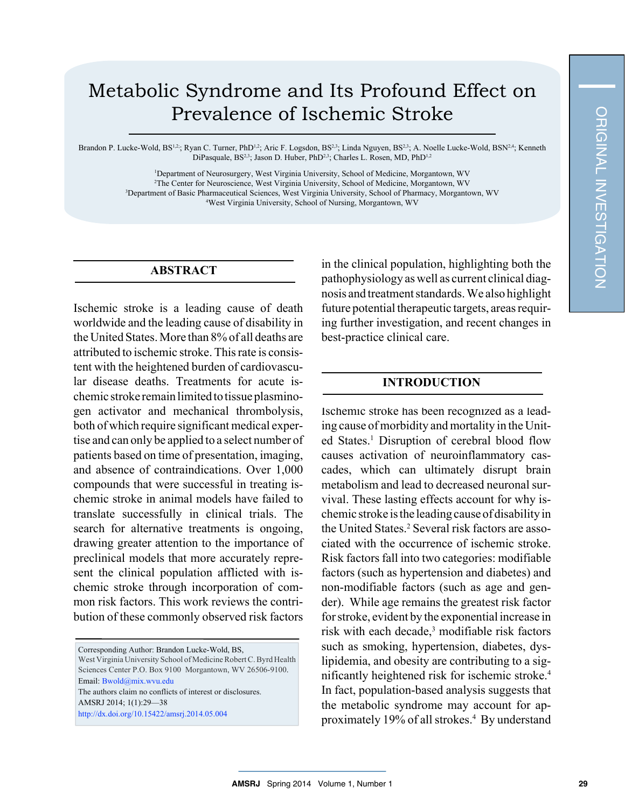# Metabolic Syndrome and Its Profound Effect on Prevalence of Ischemic Stroke

Brandon P. Lucke-Wold, BS<sup>1,2;</sup> Ryan C. Turner, PhD<sup>1,2</sup>; Aric F. Logsdon, BS<sup>2,3</sup>; Linda Nguyen, BS<sup>2,3</sup>; A. Noelle Lucke-Wold, BSN<sup>2,4</sup>; Kenneth DiPasquale, BS<sup>2,3</sup>; Jason D. Huber, PhD<sup>2,3</sup>; Charles L. Rosen, MD, PhD<sup>1,2</sup>

 Department of Neurosurgery, West Virginia University, School of Medicine, Morgantown, WV The Center for Neuroscience, West Virginia University, School of Medicine, Morgantown, WV Department of Basic Pharmaceutical Sciences, West Virginia University, School of Pharmacy, Morgantown, WV West Virginia University, School of Nursing, Morgantown, WV

# **ABSTRACT**

Ischemic stroke is a leading cause of death worldwide and the leading cause of disability in the United States. More than 8% of all deaths are attributed to ischemic stroke. Thisrate is consistent with the heightened burden of cardiovascular disease deaths. Treatments for acute ischemic stroke remain limited to tissue plasminogen activator and mechanical thrombolysis, both of which require significant medical expertise and can only be applied to a select number of patients based on time of presentation, imaging, and absence of contraindications. Over 1,000 compounds that were successful in treating ischemic stroke in animal models have failed to translate successfully in clinical trials. The search for alternative treatments is ongoing, drawing greater attention to the importance of preclinical models that more accurately represent the clinical population afflicted with ischemic stroke through incorporation of common risk factors. This work reviews the contribution of these commonly observed risk factors

Corresponding Author: Brandon Lucke-Wold, BS,

West Virginia University School of Medicine Robert C. Byrd Health Sciences Center P.O. Box 9100 Morgantown, WV 26506-9100. Email: Bwold@mix.wvu.edu

The authors claim no conflicts of interest or disclosures. AMSRJ 2014; 1(1):29—38 http://dx.doi.org/10.15422/amsrj.2014.05.004

in the clinical population, highlighting both the pathophysiology aswell as current clinical diagnosis and treatmentstandards.We also highlight future potential therapeutic targets, areas requiring further investigation, and recent changes in best-practice clinical care.

# **INTRODUCTION**

Ischemic stroke has been recognized as a leading cause of morbidity and mortality in the United States. <sup>1</sup> Disruption of cerebral blood flow causes activation of neuroinflammatory cascades, which can ultimately disrupt brain metabolism and lead to decreased neuronal survival. These lasting effects account for why ischemic stroke isthe leading cause of disability in the United States. <sup>2</sup> Several risk factors are associated with the occurrence of ischemic stroke. Risk factors fall into two categories: modifiable factors (such as hypertension and diabetes) and non-modifiable factors (such as age and gender). While age remains the greatest risk factor forstroke, evident by the exponential increase in risk with each decade, <sup>3</sup> modifiable risk factors such as smoking, hypertension, diabetes, dyslipidemia, and obesity are contributing to a significantly heightened risk for ischemic stroke. 4 In fact, population-based analysis suggests that the metabolic syndrome may account for approximately 19% of all strokes.<sup>4</sup> By understand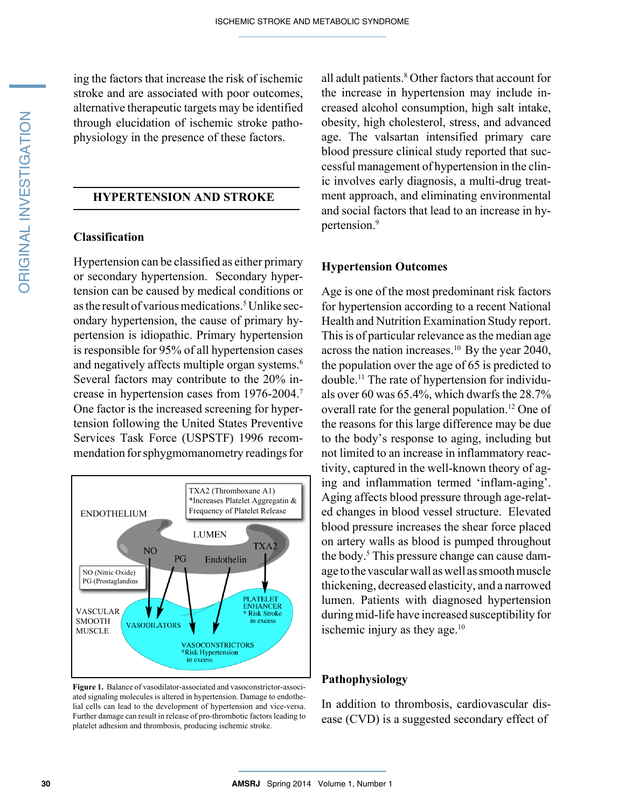ing the factors that increase the risk of ischemic stroke and are associated with poor outcomes, alternative therapeutic targets may be identified through elucidation of ischemic stroke pathophysiology in the presence of these factors.

## **HYPERTENSION AND STROKE**

#### **Classification**

Hypertension can be classified as either primary or secondary hypertension. Secondary hypertension can be caused by medical conditions or as the result of various medications.<sup>5</sup> Unlike secondary hypertension, the cause of primary hypertension is idiopathic. Primary hypertension is responsible for 95% of all hypertension cases and negatively affects multiple organ systems. 6 Several factors may contribute to the 20% increase in hypertension cases from 1976-2004. 7 One factor is the increased screening for hypertension following the United States Preventive Services Task Force (USPSTF) 1996 recommendation for sphygmomanometry readings for



**Figure 1.** Balance of vasodilator-associated and vasoconstrictor-associated signaling molecules is altered in hypertension. Damage to endothelial cells can lead to the development of hypertension and vice-versa. Further damage can result in release of pro-thrombotic factors leading to platelet adhesion and thrombosis, producing ischemic stroke.

all adult patients.<sup>8</sup> Other factors that account for the increase in hypertension may include increased alcohol consumption, high salt intake, obesity, high cholesterol, stress, and advanced age. The valsartan intensified primary care blood pressure clinical study reported that successful management of hypertension in the clinic involves early diagnosis, a multi-drug treatment approach, and eliminating environmental and social factors that lead to an increase in hypertension. 9

#### **Hypertension Outcomes**

Age is one of the most predominant risk factors for hypertension according to a recent National Health and Nutrition Examination Study report. This is of particular relevance as the median age across the nation increases. <sup>10</sup> By the year 2040, the population over the age of 65 is predicted to double. <sup>11</sup> The rate of hypertension for individuals over 60 was  $65.4\%$ , which dwarfs the  $28.7\%$ overall rate for the general population. <sup>12</sup> One of the reasons for this large difference may be due to the body's response to aging, including but not limited to an increase in inflammatory reactivity, captured in the well-known theory of aging and inflammation termed 'inflam-aging'. Aging affects blood pressure through age-related changes in blood vessel structure. Elevated blood pressure increases the shear force placed on artery walls as blood is pumped throughout the body. <sup>5</sup> This pressure change can cause damage to the vascular wall as well as smooth muscle thickening, decreased elasticity, and a narrowed lumen. Patients with diagnosed hypertension duringmid-life have increased susceptibility for ischemic injury as they age. 10

# **Pathophysiology**

In addition to thrombosis, cardiovascular disease (CVD) is a suggested secondary effect of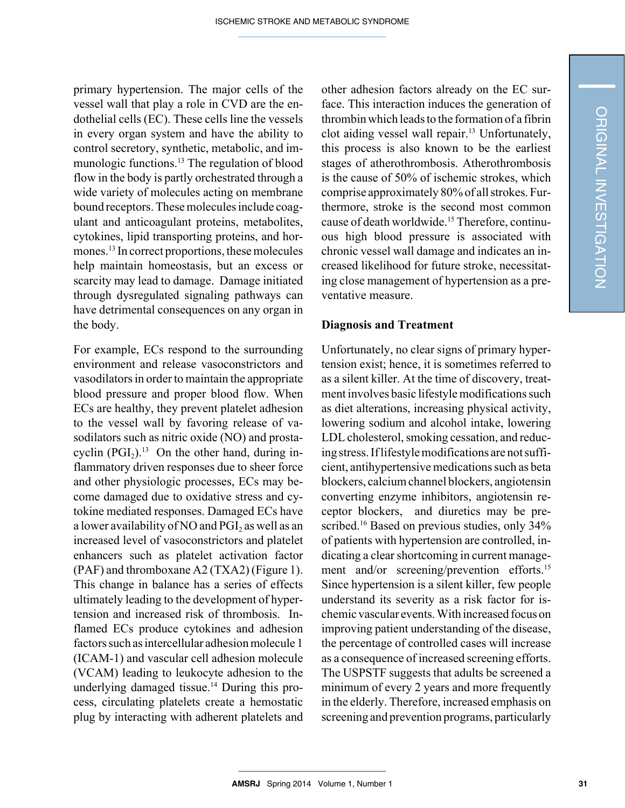primary hypertension. The major cells of the vessel wall that play a role in CVD are the endothelial cells (EC). These cells line the vessels in every organ system and have the ability to control secretory, synthetic, metabolic, and immunologic functions. <sup>13</sup> The regulation of blood flow in the body is partly orchestrated through a wide variety of molecules acting on membrane bound receptors. These molecules include coagulant and anticoagulant proteins, metabolites, cytokines, lipid transporting proteins, and hormones. <sup>13</sup> In correct proportions, thesemolecules help maintain homeostasis, but an excess or scarcity may lead to damage. Damage initiated through dysregulated signaling pathways can have detrimental consequences on any organ in the body.

For example, ECs respond to the surrounding environment and release vasoconstrictors and vasodilators in order to maintain the appropriate blood pressure and proper blood flow. When ECs are healthy, they prevent platelet adhesion to the vessel wall by favoring release of vasodilators such as nitric oxide (NO) and prostacyclin  $(PGI<sub>2</sub>)$ .<sup>13</sup> On the other hand, during inflammatory driven responses due to sheer force and other physiologic processes, ECs may become damaged due to oxidative stress and cytokine mediated responses. Damaged ECs have a lower availability of NO and  $PGI<sub>2</sub>$  as well as an increased level of vasoconstrictors and platelet enhancers such as platelet activation factor (PAF) and thromboxane A2 (TXA2) (Figure 1). This change in balance has a series of effects ultimately leading to the development of hypertension and increased risk of thrombosis. Inflamed ECs produce cytokines and adhesion factors such as intercellular adhesion molecule 1 (ICAM-1) and vascular cell adhesion molecule (VCAM) leading to leukocyte adhesion to the underlying damaged tissue. <sup>14</sup> During this process, circulating platelets create a hemostatic plug by interacting with adherent platelets and

other adhesion factors already on the EC surface. This interaction induces the generation of thrombin which leads to the formation of a fibrin clot aiding vessel wall repair. <sup>13</sup> Unfortunately, this process is also known to be the earliest stages of atherothrombosis. Atherothrombosis is the cause of 50% of ischemic strokes, which comprise approximately 80% of allstrokes. Furthermore, stroke is the second most common cause of death worldwide. <sup>15</sup> Therefore, continuous high blood pressure is associated with chronic vessel wall damage and indicates an increased likelihood for future stroke, necessitating close management of hypertension as a preventative measure.

## **Diagnosis and Treatment**

Unfortunately, no clear signs of primary hypertension exist; hence, it is sometimes referred to as a silent killer. At the time of discovery, treatment involves basic lifestyle modifications such as diet alterations, increasing physical activity, lowering sodium and alcohol intake, lowering LDL cholesterol, smoking cessation, and reducing stress.Iflifestylemodifications are notsufficient, antihypertensive medications such as beta blockers, calciumchannel blockers, angiotensin converting enzyme inhibitors, angiotensin receptor blockers, and diuretics may be prescribed.<sup>16</sup> Based on previous studies, only 34% of patients with hypertension are controlled, indicating a clear shortcoming in current management and/or screening/prevention efforts.<sup>15</sup> Since hypertension is a silent killer, few people understand its severity as a risk factor for ischemic vascular events.With increased focus on improving patient understanding of the disease, the percentage of controlled cases will increase as a consequence of increased screening efforts. The USPSTF suggests that adults be screened a minimum of every 2 years and more frequently in the elderly. Therefore, increased emphasis on screening and prevention programs, particularly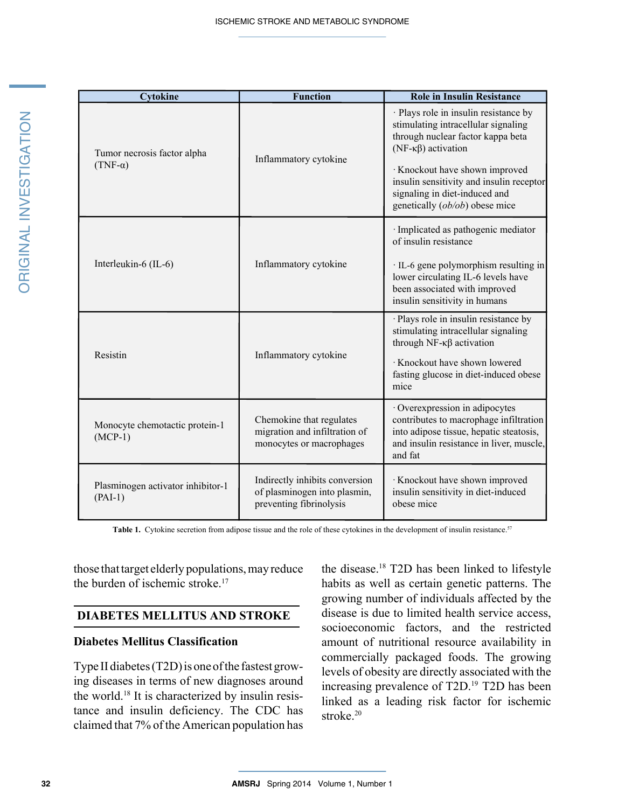| <b>Cytokine</b>                                | <b>Function</b>                                                                           | <b>Role in Insulin Resistance</b>                                                                                                                                        |
|------------------------------------------------|-------------------------------------------------------------------------------------------|--------------------------------------------------------------------------------------------------------------------------------------------------------------------------|
| Tumor necrosis factor alpha<br>$(TNF-\alpha)$  | Inflammatory cytokine                                                                     | · Plays role in insulin resistance by<br>stimulating intracellular signaling<br>through nuclear factor kappa beta<br>$(NF-\kappa\beta)$ activation                       |
|                                                |                                                                                           | · Knockout have shown improved<br>insulin sensitivity and insulin receptor<br>signaling in diet-induced and<br>genetically (ob/ob) obese mice                            |
| Interleukin-6 (IL-6)                           | Inflammatory cytokine                                                                     | · Implicated as pathogenic mediator<br>of insulin resistance                                                                                                             |
|                                                |                                                                                           | · IL-6 gene polymorphism resulting in<br>lower circulating IL-6 levels have<br>been associated with improved<br>insulin sensitivity in humans                            |
| Resistin                                       | Inflammatory cytokine                                                                     | · Plays role in insulin resistance by<br>stimulating intracellular signaling<br>through NF-κβ activation                                                                 |
|                                                |                                                                                           | · Knockout have shown lowered<br>fasting glucose in diet-induced obese<br>mice                                                                                           |
| Monocyte chemotactic protein-1<br>$(MCP-1)$    | Chemokine that regulates<br>migration and infiltration of<br>monocytes or macrophages     | Overexpression in adipocytes<br>contributes to macrophage infiltration<br>into adipose tissue, hepatic steatosis,<br>and insulin resistance in liver, muscle,<br>and fat |
| Plasminogen activator inhibitor-1<br>$(PAI-1)$ | Indirectly inhibits conversion<br>of plasminogen into plasmin,<br>preventing fibrinolysis | · Knockout have shown improved<br>insulin sensitivity in diet-induced<br>obese mice                                                                                      |

**Table 1.** Cytokine secretion from adipose tissue and the role of these cytokines in the development of insulin resistance.<sup>57</sup>

those that target elderly populations, may reduce the burden of ischemic stroke. 17

## **DIABETES MELLITUS AND STROKE**

## **Diabetes Mellitus Classification**

Type II diabetes (T2D) is one of the fastest growing diseases in terms of new diagnoses around the world. <sup>18</sup> It is characterized by insulin resistance and insulin deficiency. The CDC has claimed that 7% of the American population has

the disease. <sup>18</sup> T2D has been linked to lifestyle habits as well as certain genetic patterns. The growing number of individuals affected by the disease is due to limited health service access, socioeconomic factors, and the restricted amount of nutritional resource availability in commercially packaged foods. The growing levels of obesity are directly associated with the increasing prevalence of T2D. <sup>19</sup> T2D has been linked as a leading risk factor for ischemic stroke. 20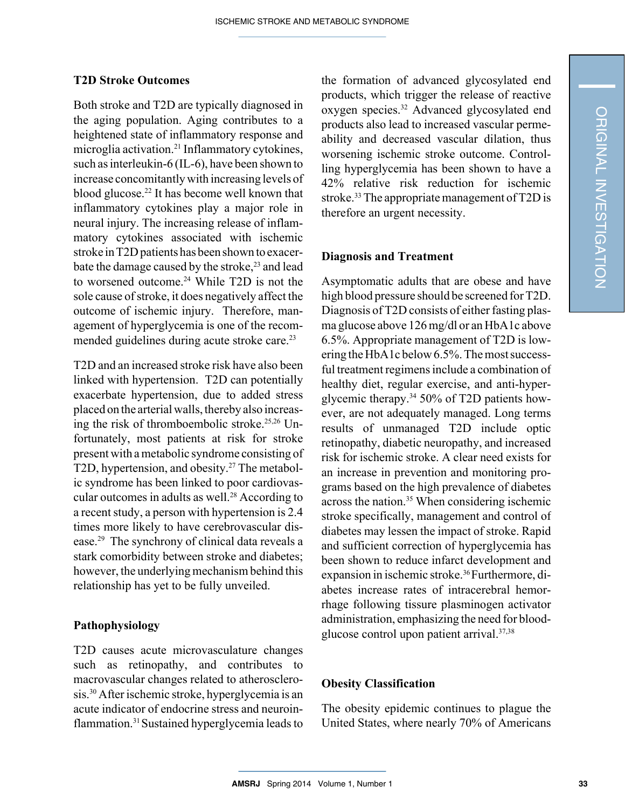## **T2D Stroke Outcomes**

Both stroke and T2D are typically diagnosed in the aging population. Aging contributes to a heightened state of inflammatory response and microglia activation. <sup>21</sup> Inflammatory cytokines, such as interleukin-6 (IL-6), have been shown to increase concomitantlywith increasing levels of blood glucose. <sup>22</sup> It has become well known that inflammatory cytokines play a major role in neural injury. The increasing release of inflammatory cytokines associated with ischemic stroke in T2D patients has been shown to exacerbate the damage caused by the stroke, <sup>23</sup> and lead to worsened outcome. <sup>24</sup> While T2D is not the sole cause of stroke, it does negatively affect the outcome of ischemic injury. Therefore, management of hyperglycemia is one of the recommended guidelines during acute stroke care. 23

T2D and an increased stroke risk have also been linked with hypertension. T2D can potentially exacerbate hypertension, due to added stress placed on the arterial walls, thereby also increasing the risk of thromboembolic stroke. 25,26 Unfortunately, most patients at risk for stroke presentwith ametabolic syndrome consisting of T2D, hypertension, and obesity. <sup>27</sup> The metabolic syndrome has been linked to poor cardiovascular outcomes in adults as well. <sup>28</sup> According to a recent study, a person with hypertension is 2.4 times more likely to have cerebrovascular disease. <sup>29</sup> The synchrony of clinical data reveals a stark comorbidity between stroke and diabetes; however, the underlying mechanism behind this relationship has yet to be fully unveiled.

## **Pathophysiology**

T2D causes acute microvasculature changes such as retinopathy, and contributes to macrovascular changes related to atherosclerosis.<sup>30</sup> After ischemic stroke, hyperglycemia is an acute indicator of endocrine stress and neuroinflammation.<sup>31</sup> Sustained hyperglycemia leads to

the formation of advanced glycosylated end products, which trigger the release of reactive oxygen species. <sup>32</sup> Advanced glycosylated end products also lead to increased vascular permeability and decreased vascular dilation, thus worsening ischemic stroke outcome. Controlling hyperglycemia has been shown to have a 42% relative risk reduction for ischemic stroke.<sup>33</sup> The appropriate management of T2D is therefore an urgent necessity.

#### **Diagnosis and Treatment**

Asymptomatic adults that are obese and have high blood pressure should be screened for T2D. Diagnosis of T2D consists of either fasting plasma glucose above 126mg/dl or an HbA1c above 6.5%. Appropriate management of T2D is lowering the HbA1c below 6.5%. The most successful treatment regimens include a combination of healthy diet, regular exercise, and anti-hyperglycemic therapy. <sup>34</sup> 50% of T2D patients however, are not adequately managed. Long terms results of unmanaged T2D include optic retinopathy, diabetic neuropathy, and increased risk for ischemic stroke. A clear need exists for an increase in prevention and monitoring programs based on the high prevalence of diabetes across the nation. <sup>35</sup> When considering ischemic stroke specifically, management and control of diabetes may lessen the impact of stroke. Rapid and sufficient correction of hyperglycemia has been shown to reduce infarct development and expansion in ischemic stroke.<sup>36</sup> Furthermore, diabetes increase rates of intracerebral hemorrhage following tissure plasminogen activator administration, emphasizing the need for bloodglucose control upon patient arrival. 37,38

# **Obesity Classification**

The obesity epidemic continues to plague the United States, where nearly 70% of Americans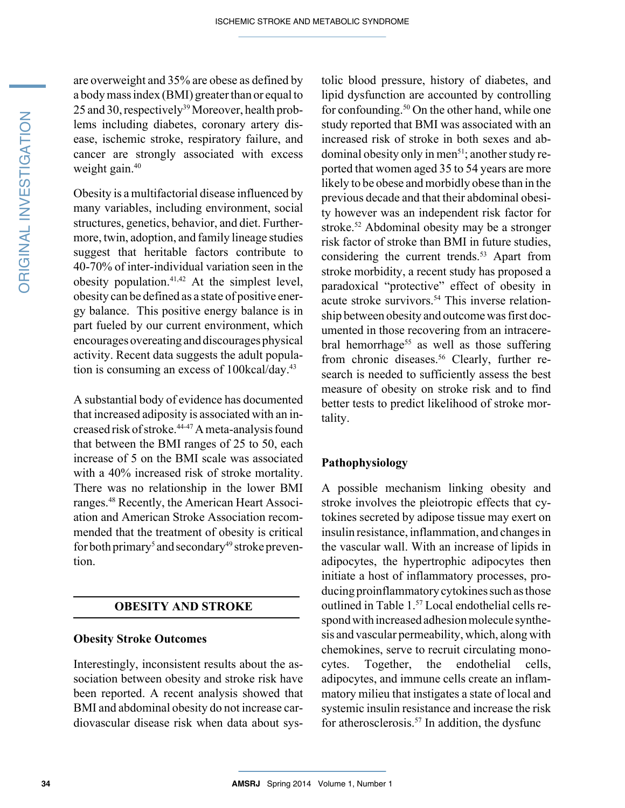are overweight and 35% are obese as defined by a body mass index (BMI) greater than or equal to 25 and 30, respectively<sup>39</sup> Moreover, health problems including diabetes, coronary artery disease, ischemic stroke, respiratory failure, and cancer are strongly associated with excess weight gain. 40

Obesity is a multifactorial disease influenced by many variables, including environment, social structures, genetics, behavior, and diet. Furthermore, twin, adoption, and family lineage studies suggest that heritable factors contribute to 40-70% of inter-individual variation seen in the obesity population. 41,42 At the simplest level, obesity can be defined as a state of positive energy balance. This positive energy balance is in part fueled by our current environment, which encourages overeating and discourages physical activity. Recent data suggests the adult population is consuming an excess of 100kcal/day. 43

A substantial body of evidence has documented that increased adiposity is associated with an increased risk ofstroke. 44-47Ameta-analysisfound that between the BMI ranges of 25 to 50, each increase of 5 on the BMI scale was associated with a 40% increased risk of stroke mortality. There was no relationship in the lower BMI ranges. <sup>48</sup> Recently, the American Heart Association and American Stroke Association recommended that the treatment of obesity is critical for both primary<sup>5</sup> and secondary<sup>49</sup> stroke prevention.

# **OBESITY AND STROKE**

## **Obesity Stroke Outcomes**

Interestingly, inconsistent results about the association between obesity and stroke risk have been reported. A recent analysis showed that BMI and abdominal obesity do not increase cardiovascular disease risk when data about sys-

tolic blood pressure, history of diabetes, and lipid dysfunction are accounted by controlling for confounding. <sup>50</sup> On the other hand, while one study reported that BMI was associated with an increased risk of stroke in both sexes and abdominal obesity only in men<sup>51</sup>; another study reported that women aged 35 to 54 years are more likely to be obese and morbidly obese than in the previous decade and that their abdominal obesity however was an independent risk factor for stroke. <sup>52</sup> Abdominal obesity may be a stronger risk factor of stroke than BMI in future studies, considering the current trends. <sup>53</sup> Apart from stroke morbidity, a recent study has proposed a paradoxical "protective" effect of obesity in acute stroke survivors. <sup>54</sup> This inverse relationship between obesity and outcome was first documented in those recovering from an intracerebral hemorrhage<sup>55</sup> as well as those suffering from chronic diseases. <sup>56</sup> Clearly, further research is needed to sufficiently assess the best measure of obesity on stroke risk and to find better tests to predict likelihood of stroke mortality.

# **Pathophysiology**

A possible mechanism linking obesity and stroke involves the pleiotropic effects that cytokines secreted by adipose tissue may exert on insulin resistance, inflammation, and changes in the vascular wall. With an increase of lipids in adipocytes, the hypertrophic adipocytes then initiate a host of inflammatory processes, producing proinflammatory cytokines such as those outlined in Table 1. <sup>57</sup> Local endothelial cells respond with increased adhesion molecule synthesis and vascular permeability, which, along with chemokines, serve to recruit circulating monocytes. Together, the endothelial cells, adipocytes, and immune cells create an inflammatory milieu that instigates a state of local and systemic insulin resistance and increase the risk for atherosclerosis. <sup>57</sup> In addition, the dysfunc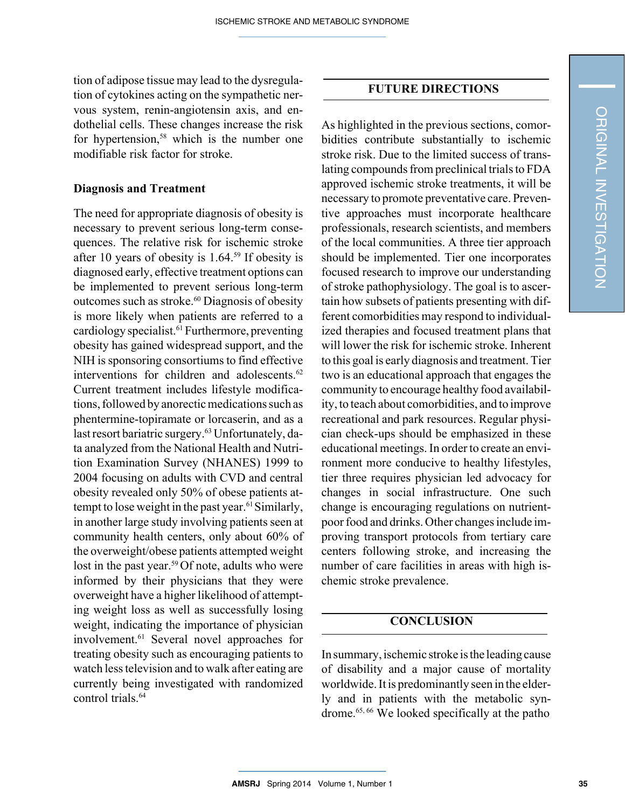tion of adipose tissue may lead to the dysregulation of cytokines acting on the sympathetic nervous system, renin-angiotensin axis, and endothelial cells. These changes increase the risk for hypertension, <sup>58</sup> which is the number one modifiable risk factor for stroke.

# **Diagnosis and Treatment**

The need for appropriate diagnosis of obesity is necessary to prevent serious long-term consequences. The relative risk for ischemic stroke after 10 years of obesity is 1.64. <sup>59</sup> If obesity is diagnosed early, effective treatment options can be implemented to prevent serious long-term outcomes such as stroke. <sup>60</sup> Diagnosis of obesity is more likely when patients are referred to a cardiology specialist.<sup>61</sup> Furthermore, preventing obesity has gained widespread support, and the NIH is sponsoring consortiums to find effective interventions for children and adolescents. 62 Current treatment includes lifestyle modifications, followed by anorectic medications such as phentermine-topiramate or lorcaserin, and as a last resort bariatric surgery.<sup>63</sup> Unfortunately, data analyzed from the National Health and Nutrition Examination Survey (NHANES) 1999 to 2004 focusing on adults with CVD and central obesity revealed only 50% of obese patients attempt to lose weight in the past year. 61Similarly, in another large study involving patients seen at community health centers, only about 60% of the overweight/obese patients attempted weight lost in the past year.<sup>59</sup> Of note, adults who were informed by their physicians that they were overweight have a higher likelihood of attempting weight loss as well as successfully losing weight, indicating the importance of physician involvement. <sup>61</sup> Several novel approaches for treating obesity such as encouraging patients to watch less television and to walk after eating are currently being investigated with randomized control trials. 64

## **FUTURE DIRECTIONS**

As highlighted in the previous sections, comorbidities contribute substantially to ischemic stroke risk. Due to the limited success of translating compounds from preclinical trials to FDA approved ischemic stroke treatments, it will be necessary to promote preventative care. Preventive approaches must incorporate healthcare professionals, research scientists, and members of the local communities. A three tier approach should be implemented. Tier one incorporates focused research to improve our understanding of stroke pathophysiology. The goal is to ascertain how subsets of patients presenting with different comorbidities may respond to individualized therapies and focused treatment plans that will lower the risk for ischemic stroke. Inherent to this goal is early diagnosis and treatment. Tier two is an educational approach that engages the community to encourage healthy food availability, to teach about comorbidities, and to improve recreational and park resources. Regular physician check-ups should be emphasized in these educational meetings. In order to create an environment more conducive to healthy lifestyles, tier three requires physician led advocacy for changes in social infrastructure. One such change is encouraging regulations on nutrientpoor food and drinks. Other changes include improving transport protocols from tertiary care centers following stroke, and increasing the number of care facilities in areas with high ischemic stroke prevalence.

# **CONCLUSION**

In summary, ischemic stroke is the leading cause of disability and a major cause of mortality worldwide.It is predominantly seen in the elderly and in patients with the metabolic syndrome. 65, <sup>66</sup> We looked specifically at the patho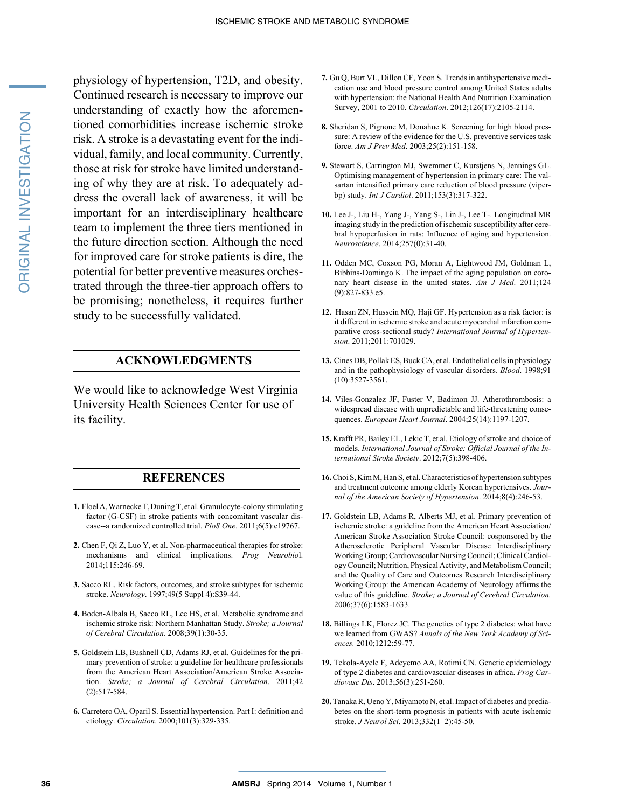physiology of hypertension, T2D, and obesity. Continued research is necessary to improve our understanding of exactly how the aforementioned comorbidities increase ischemic stroke risk. A stroke is a devastating event for the individual, family, and local community. Currently, those at risk for stroke have limited understanding of why they are at risk. To adequately address the overall lack of awareness, it will be important for an interdisciplinary healthcare team to implement the three tiers mentioned in the future direction section. Although the need for improved care for stroke patients is dire, the potential for better preventive measures orchestrated through the three-tier approach offers to be promising; nonetheless, it requires further study to be successfully validated.

#### **ACKNOWLEDGMENTS**

We would like to acknowledge West Virginia University Health Sciences Center for use of its facility.

# **REFERENCES**

- **1.** FloelA,WarneckeT,DuningT, et al.Granulocyte-colony stimulating factor (G-CSF) in stroke patients with concomitant vascular disease--a randomized controlled trial. *PloS One*. 2011;6(5):e19767.
- **2.** Chen F, Qi Z, Luo Y, et al. Non-pharmaceutical therapies for stroke: mechanisms and clinical implications. *Prog Neurobio*l. 2014;115:246-69.
- **3.** Sacco RL. Risk factors, outcomes, and stroke subtypes for ischemic stroke. *Neurology*. 1997;49(5 Suppl 4):S39-44.
- **4.** Boden-Albala B, Sacco RL, Lee HS, et al. Metabolic syndrome and ischemic stroke risk: Northern Manhattan Study. *Stroke; a Journal of Cerebral Circulation*. 2008;39(1):30-35.
- **5.** Goldstein LB, Bushnell CD, Adams RJ, et al. Guidelines for the primary prevention of stroke: a guideline for healthcare professionals from the American Heart Association/American Stroke Association. *Stroke; a Journal of Cerebral Circulation*. 2011;42 (2):517-584.
- **6.** Carretero OA, Oparil S. Essential hypertension. Part I: definition and etiology. *Circulation*. 2000;101(3):329-335.
- **7.** Gu Q, Burt VL, Dillon CF, Yoon S. Trendsin antihypertensive medication use and blood pressure control among United States adults with hypertension: the National Health And Nutrition Examination Survey, 2001 to 2010. *Circulation*. 2012;126(17):2105-2114.
- **8.** Sheridan S, Pignone M, Donahue K. Screening for high blood pressure: A review of the evidence for the U.S. preventive services task force. *Am J Prev Med*. 2003;25(2):151-158.
- **9.** Stewart S, Carrington MJ, Swemmer C, Kurstjens N, Jennings GL. Optimising management of hypertension in primary care: The valsartan intensified primary care reduction of blood pressure (viperbp) study. *Int J Cardiol*. 2011;153(3):317-322.
- **10.** Lee J-, Liu H-, Yang J-, Yang S-, Lin J-, Lee T-. Longitudinal MR imaging study in the prediction of ischemic susceptibility after cerebral hypoperfusion in rats: Influence of aging and hypertension. *Neuroscience*. 2014;257(0):31-40.
- **11.** Odden MC, Coxson PG, Moran A, Lightwood JM, Goldman L, Bibbins-Domingo K. The impact of the aging population on coronary heart disease in the united states. *Am J Med*. 2011;124 (9):827-833.e5.
- **12.** Hasan ZN, Hussein MQ, Haji GF. Hypertension as a risk factor: is it different in ischemic stroke and acute myocardial infarction comparative cross-sectional study? *International Journal of Hypertension*. 2011;2011:701029.
- 13. Cines DB, Pollak ES, Buck CA, et al. Endothelial cells in physiology and in the pathophysiology of vascular disorders. *Blood*. 1998;91 (10):3527-3561.
- **14.** Viles-Gonzalez JF, Fuster V, Badimon JJ. Atherothrombosis: a widespread disease with unpredictable and life-threatening consequences. *European Heart Journal*. 2004;25(14):1197-1207.
- 15. Krafft PR, Bailey EL, Lekic T, et al. Etiology of stroke and choice of models. *International Journal of Stroke: Official Journal of the International Stroke Society*. 2012;7(5):398-406.
- **16.**ChoiS,KimM,HanS, et al.Characteristics of hypertension subtypes and treatment outcome among elderly Korean hypertensives. *Journal of the American Society of Hypertension*. 2014;8(4):246-53.
- **17.** Goldstein LB, Adams R, Alberts MJ, et al. Primary prevention of ischemic stroke: a guideline from the American Heart Association/ American Stroke Association Stroke Council: cosponsored by the Atherosclerotic Peripheral Vascular Disease Interdisciplinary Working Group;Cardiovascular NursingCouncil;ClinicalCardiologyCouncil; Nutrition, Physical Activity, and Metabolism Council; and the Quality of Care and Outcomes Research Interdisciplinary Working Group: the American Academy of Neurology affirms the value of this guideline. *Stroke; a Journal of Cerebral Circulation.* 2006;37(6):1583-1633.
- **18.** Billings LK, Florez JC. The genetics of type 2 diabetes: what have we learned from GWAS? *Annals of the New York Academy of Sciences.* 2010;1212:59-77.
- **19.** Tekola-Ayele F, Adeyemo AA, Rotimi CN. Genetic epidemiology of type 2 diabetes and cardiovascular diseases in africa. *Prog Cardiovasc Dis*. 2013;56(3):251-260.
- 20. Tanaka R, Ueno Y, Miyamoto N, et al. Impact of diabetes and prediabetes on the short-term prognosis in patients with acute ischemic stroke. *J Neurol Sci*. 2013;332(1–2):45-50.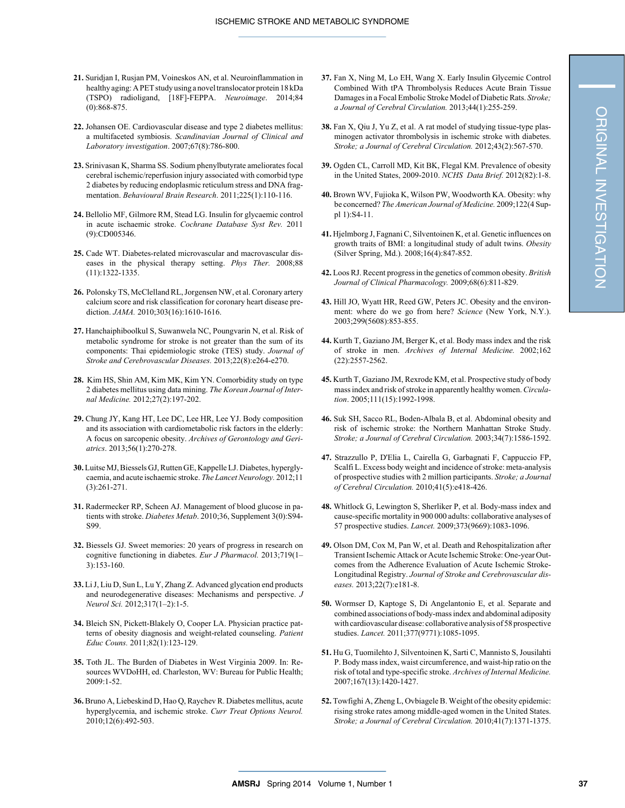- **21.** Suridjan I, Rusjan PM, Voineskos AN, et al. Neuroinflammation in healthy aging: A PET study using a novel translocator protein 18 kDa (TSPO) radioligand, [18F]-FEPPA. *Neuroimage*. 2014;84 (0):868-875.
- **22.** Johansen OE. Cardiovascular disease and type 2 diabetes mellitus: a multifaceted symbiosis. *Scandinavian Journal of Clinical and Laboratory investigation*. 2007;67(8):786-800.
- 23. Srinivasan K, Sharma SS. Sodium phenylbutyrate ameliorates focal cerebral ischemic/reperfusion injury associated with comorbid type 2 diabetes by reducing endoplasmic reticulum stress and DNA fragmentation. *Behavioural Brain Research*. 2011;225(1):110-116.
- **24.** Bellolio MF, Gilmore RM, Stead LG. Insulin for glycaemic control in acute ischaemic stroke. *Cochrane Database Syst Rev.* 2011 (9):CD005346.
- **25.** Cade WT. Diabetes-related microvascular and macrovascular diseases in the physical therapy setting. *Phys Ther.* 2008;88 (11):1322-1335.
- 26. Polonsky TS, McClelland RL, Jorgensen NW, et al. Coronary artery calcium score and risk classification for coronary heart disease prediction. *JAMA.* 2010;303(16):1610-1616.
- **27.** Hanchaiphiboolkul S, Suwanwela NC, Poungvarin N, et al. Risk of metabolic syndrome for stroke is not greater than the sum of its components: Thai epidemiologic stroke (TES) study. *Journal of Stroke and Cerebrovascular Diseases.* 2013;22(8):e264-e270.
- **28.** Kim HS, Shin AM, Kim MK, Kim YN. Comorbidity study on type 2 diabetes mellitus using data mining. *The Korean Journal of Internal Medicine.* 2012;27(2):197-202.
- **29.** Chung JY, Kang HT, Lee DC, Lee HR, Lee YJ. Body composition and its association with cardiometabolic risk factors in the elderly: A focus on sarcopenic obesity. *Archives of Gerontology and Geriatrics*. 2013;56(1):270-278.
- **30.**LuitseMJ,Biessels GJ,Rutten GE, KappelleLJ. Diabetes, hyperglycaemia, and acute ischaemic stroke. The Lancet Neurology. 2012;11 (3):261-271.
- **31.** Radermecker RP, Scheen AJ. Management of blood glucose in patients with stroke. *Diabetes Metab*. 2010;36, Supplement 3(0):S94- S99.
- **32.** Biessels GJ. Sweet memories: 20 years of progress in research on cognitive functioning in diabetes. *Eur J Pharmacol.* 2013;719(1– 3):153-160.
- **33.** LiJ, Liu D, Sun L, Lu Y, Zhang Z. Advanced glycation end products and neurodegenerative diseases: Mechanisms and perspective. *J Neurol Sci.* 2012;317(1–2):1-5.
- **34.** Bleich SN, Pickett-Blakely O, Cooper LA. Physician practice patterns of obesity diagnosis and weight-related counseling. *Patient Educ Couns.* 2011;82(1):123-129.
- **35.** Toth JL. The Burden of Diabetes in West Virginia 2009. In: Resources WVDoHH, ed. Charleston, WV: Bureau for Public Health; 2009:1-52.
- **36.** Bruno A, Liebeskind D, Hao Q, Raychev R. Diabetes mellitus, acute hyperglycemia, and ischemic stroke. *Curr Treat Options Neurol.* 2010;12(6):492-503.
- **37.** Fan X, Ning M, Lo EH, Wang X. Early Insulin Glycemic Control Combined With tPA Thrombolysis Reduces Acute Brain Tissue Damages in a Focal Embolic Stroke Model of Diabetic Rats. *Stroke*; *a Journal of Cerebral Circulation.* 2013;44(1):255-259.
- **38.** Fan X, Qiu J, Yu Z, et al. A rat model of studying tissue-type plasminogen activator thrombolysis in ischemic stroke with diabetes. *Stroke; a Journal of Cerebral Circulation.* 2012;43(2):567-570.
- **39.** Ogden CL, Carroll MD, Kit BK, Flegal KM. Prevalence of obesity in the United States, 2009-2010. *NCHS Data Brief.* 2012(82):1-8.
- **40.** Brown WV, Fujioka K, Wilson PW, Woodworth KA. Obesity: why be concerned? *The American Journal of Medicine.* 2009;122(4 Suppl 1):S4-11.
- **41.** Hjelmborg J, FagnaniC, Silventoinen K, et al. Genetic influences on growth traits of BMI: a longitudinal study of adult twins. *Obesity* (Silver Spring, Md.). 2008;16(4):847-852.
- **42.** Loos RJ. Recent progressin the genetics of common obesity. *British Journal of Clinical Pharmacology.* 2009;68(6):811-829.
- **43.** Hill JO, Wyatt HR, Reed GW, Peters JC. Obesity and the environment: where do we go from here? *Science* (New York, N.Y.). 2003;299(5608):853-855.
- **44.** Kurth T, Gaziano JM, Berger K, et al. Body mass index and the risk of stroke in men. *Archives of Internal Medicine.* 2002;162 (22):2557-2562.
- **45.** Kurth T, Gaziano JM, Rexrode KM, et al. Prospective study of body mass index and risk of stroke in apparently healthy women. *Circulation*. 2005;111(15):1992-1998.
- **46.** Suk SH, Sacco RL, Boden-Albala B, et al. Abdominal obesity and risk of ischemic stroke: the Northern Manhattan Stroke Study. *Stroke; a Journal of Cerebral Circulation.* 2003;34(7):1586-1592.
- **47.** Strazzullo P, D'Elia L, Cairella G, Garbagnati F, Cappuccio FP, Scalfi L. Excess body weight and incidence of stroke: meta-analysis of prospective studies with 2 million participants. *Stroke; a Journal of Cerebral Circulation.* 2010;41(5):e418-426.
- **48.** Whitlock G, Lewington S, Sherliker P, et al. Body-mass index and cause-specific mortality in 900 000 adults: collaborative analyses of 57 prospective studies. *Lancet.* 2009;373(9669):1083-1096.
- **49.** Olson DM, Cox M, Pan W, et al. Death and Rehospitalization after Transient Ischemic Attack or Acute Ischemic Stroke: One-year Outcomes from the Adherence Evaluation of Acute Ischemic Stroke-Longitudinal Registry. *Journal of Stroke and Cerebrovascular diseases.* 2013;22(7):e181-8.
- **50.** Wormser D, Kaptoge S, Di Angelantonio E, et al. Separate and combined associations of body-massindex and abdominal adiposity with cardiovascular disease: collaborative analysis of 58 prospective studies. *Lancet.* 2011;377(9771):1085-1095.
- 51. Hu G, Tuomilehto J, Silventoinen K, Sarti C, Mannisto S, Jousilahti P. Body massindex, waist circumference, and waist-hip ratio on the risk of total and type-specific stroke. *Archives of Internal Medicine.* 2007;167(13):1420-1427.
- **52.** Towfighi A, Zheng L, Ovbiagele B. Weight of the obesity epidemic: rising stroke rates among middle-aged women in the United States. *Stroke; a Journal of Cerebral Circulation.* 2010;41(7):1371-1375.